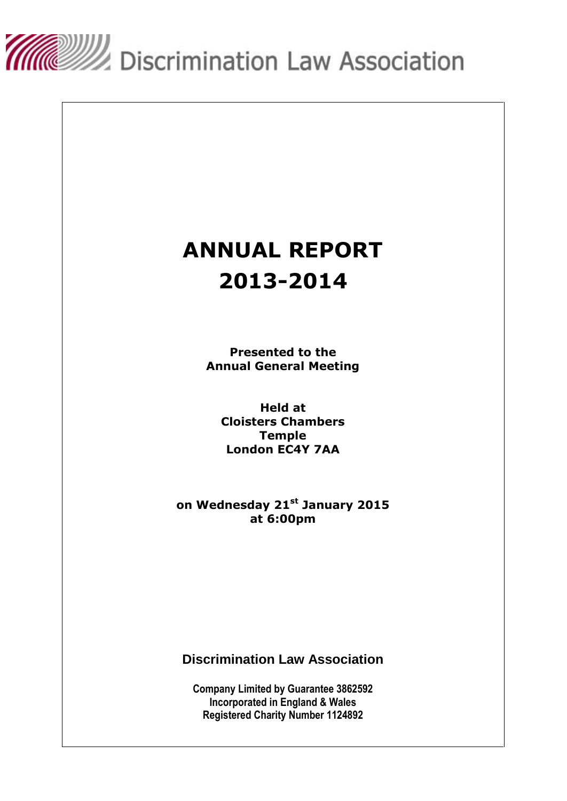

# **ANNUAL REPORT 2013-2014**

**Presented to the Annual General Meeting**

**Held at Cloisters Chambers Temple London EC4Y 7AA**

**on Wednesday 21 st January 2015 at 6:00pm**

**Discrimination Law Association**

**Company Limited by Guarantee 3862592 Incorporated in England & Wales Registered Charity Number 1124892**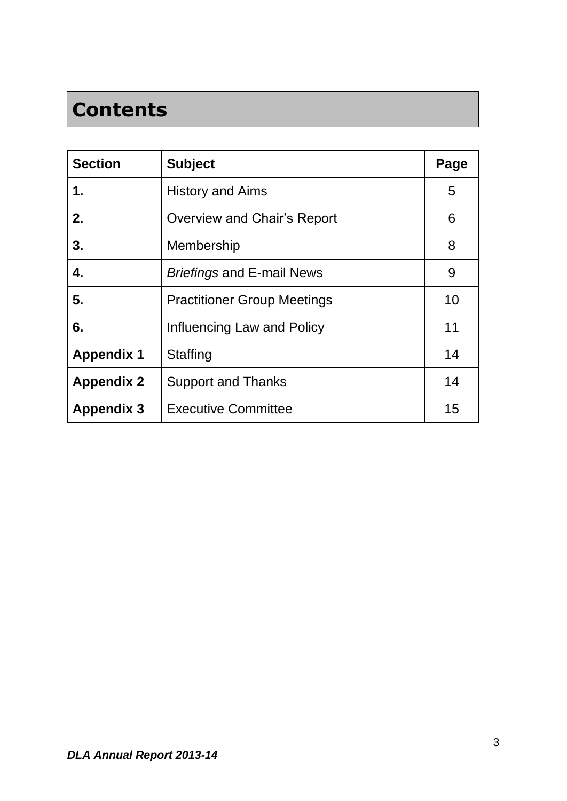# **Contents**

| <b>Section</b>    | <b>Subject</b>                     | Page |
|-------------------|------------------------------------|------|
| 1.                | <b>History and Aims</b>            | 5    |
| 2.                | Overview and Chair's Report        | 6    |
| 3.                | Membership                         | 8    |
| 4.                | <b>Briefings and E-mail News</b>   | 9    |
| 5.                | <b>Practitioner Group Meetings</b> | 10   |
| 6.                | Influencing Law and Policy         | 11   |
| <b>Appendix 1</b> | <b>Staffing</b>                    | 14   |
| <b>Appendix 2</b> | <b>Support and Thanks</b>          | 14   |
| <b>Appendix 3</b> | <b>Executive Committee</b>         | 15   |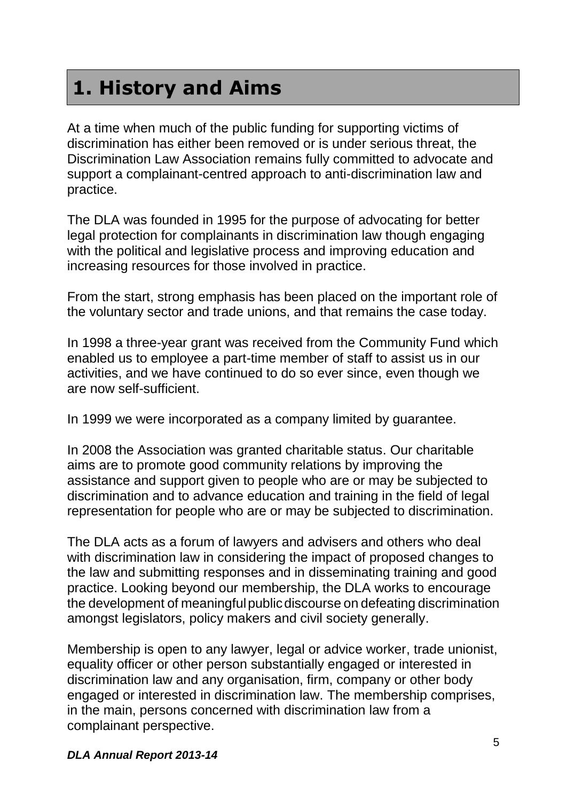# **1. History and Aims**

At a time when much of the public funding for supporting victims of discrimination has either been removed or is under serious threat, the Discrimination Law Association remains fully committed to advocate and support a complainant-centred approach to anti-discrimination law and practice.

The DLA was founded in 1995 for the purpose of advocating for better legal protection for complainants in discrimination law though engaging with the political and legislative process and improving education and increasing resources for those involved in practice.

From the start, strong emphasis has been placed on the important role of the voluntary sector and trade unions, and that remains the case today.

In 1998 a three-year grant was received from the Community Fund which enabled us to employee a part-time member of staff to assist us in our activities, and we have continued to do so ever since, even though we are now self-sufficient.

In 1999 we were incorporated as a company limited by guarantee.

In 2008 the Association was granted charitable status. Our charitable aims are to promote good community relations by improving the assistance and support given to people who are or may be subjected to discrimination and to advance education and training in the field of legal representation for people who are or may be subjected to discrimination.

The DLA acts as a forum of lawyers and advisers and others who deal with discrimination law in considering the impact of proposed changes to the law and submitting responses and in disseminating training and good practice. Looking beyond our membership, the DLA works to encourage the development of meaningful public discourse on defeating discrimination amongst legislators, policy makers and civil society generally.

Membership is open to any lawyer, legal or advice worker, trade unionist, equality officer or other person substantially engaged or interested in discrimination law and any organisation, firm, company or other body engaged or interested in discrimination law. The membership comprises, in the main, persons concerned with discrimination law from a complainant perspective.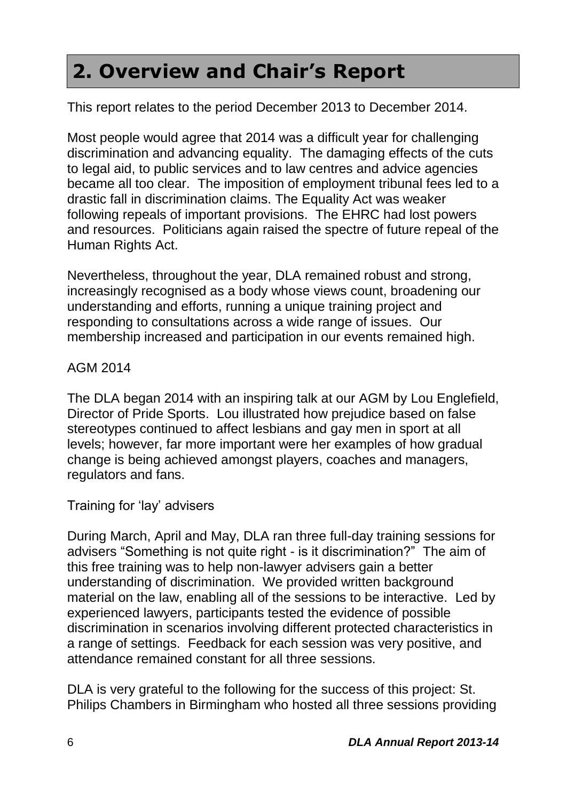# **2. Overview and Chair's Report**

This report relates to the period December 2013 to December 2014.

Most people would agree that 2014 was a difficult year for challenging discrimination and advancing equality. The damaging effects of the cuts to legal aid, to public services and to law centres and advice agencies became all too clear. The imposition of employment tribunal fees led to a drastic fall in discrimination claims. The Equality Act was weaker following repeals of important provisions. The EHRC had lost powers and resources. Politicians again raised the spectre of future repeal of the Human Rights Act.

Nevertheless, throughout the year, DLA remained robust and strong, increasingly recognised as a body whose views count, broadening our understanding and efforts, running a unique training project and responding to consultations across a wide range of issues. Our membership increased and participation in our events remained high.

#### AGM 2014

The DLA began 2014 with an inspiring talk at our AGM by Lou Englefield, Director of Pride Sports. Lou illustrated how prejudice based on false stereotypes continued to affect lesbians and gay men in sport at all levels; however, far more important were her examples of how gradual change is being achieved amongst players, coaches and managers, regulators and fans.

#### Training for 'lay' advisers

During March, April and May, DLA ran three full-day training sessions for advisers "Something is not quite right - is it discrimination?" The aim of this free training was to help non-lawyer advisers gain a better understanding of discrimination. We provided written background material on the law, enabling all of the sessions to be interactive. Led by experienced lawyers, participants tested the evidence of possible discrimination in scenarios involving different protected characteristics in a range of settings. Feedback for each session was very positive, and attendance remained constant for all three sessions.

DLA is very grateful to the following for the success of this project: St. Philips Chambers in Birmingham who hosted all three sessions providing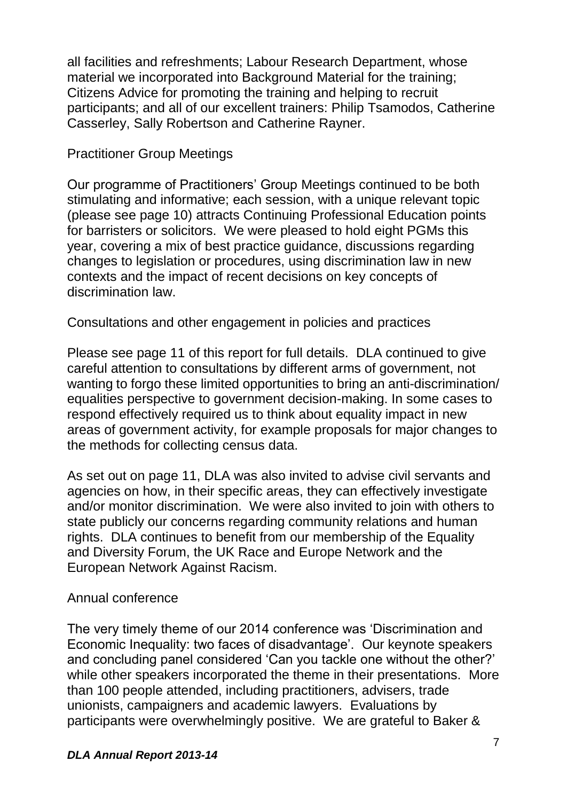all facilities and refreshments; Labour Research Department, whose material we incorporated into Background Material for the training; Citizens Advice for promoting the training and helping to recruit participants; and all of our excellent trainers: Philip Tsamodos, Catherine Casserley, Sally Robertson and Catherine Rayner.

#### Practitioner Group Meetings

Our programme of Practitioners' Group Meetings continued to be both stimulating and informative; each session, with a unique relevant topic (please see page 10) attracts Continuing Professional Education points for barristers or solicitors. We were pleased to hold eight PGMs this year, covering a mix of best practice guidance, discussions regarding changes to legislation or procedures, using discrimination law in new contexts and the impact of recent decisions on key concepts of discrimination law.

Consultations and other engagement in policies and practices

Please see page 11 of this report for full details. DLA continued to give careful attention to consultations by different arms of government, not wanting to forgo these limited opportunities to bring an anti-discrimination/ equalities perspective to government decision-making. In some cases to respond effectively required us to think about equality impact in new areas of government activity, for example proposals for major changes to the methods for collecting census data.

As set out on page 11, DLA was also invited to advise civil servants and agencies on how, in their specific areas, they can effectively investigate and/or monitor discrimination. We were also invited to join with others to state publicly our concerns regarding community relations and human rights. DLA continues to benefit from our membership of the Equality and Diversity Forum, the UK Race and Europe Network and the European Network Against Racism.

#### Annual conference

The very timely theme of our 2014 conference was 'Discrimination and Economic Inequality: two faces of disadvantage'. Our keynote speakers and concluding panel considered 'Can you tackle one without the other?' while other speakers incorporated the theme in their presentations. More than 100 people attended, including practitioners, advisers, trade unionists, campaigners and academic lawyers. Evaluations by participants were overwhelmingly positive. We are grateful to Baker &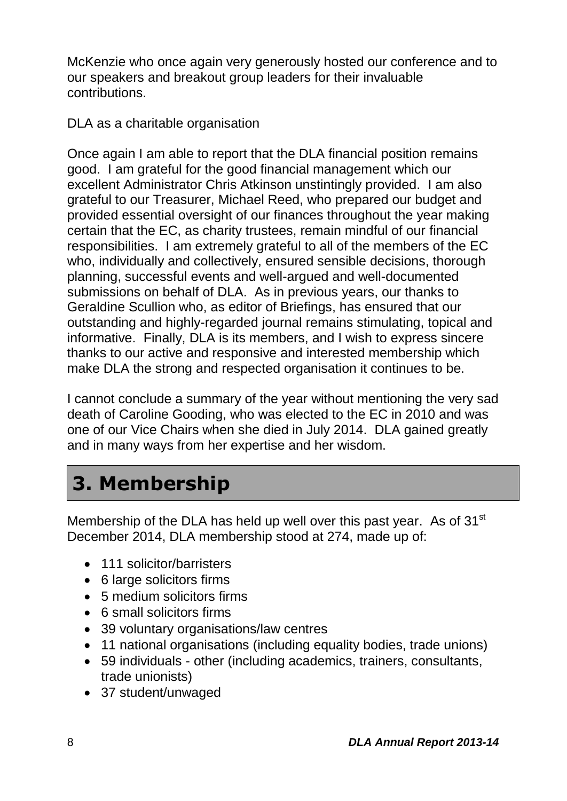McKenzie who once again very generously hosted our conference and to our speakers and breakout group leaders for their invaluable contributions.

DLA as a charitable organisation

Once again I am able to report that the DLA financial position remains good. I am grateful for the good financial management which our excellent Administrator Chris Atkinson unstintingly provided. I am also grateful to our Treasurer, Michael Reed, who prepared our budget and provided essential oversight of our finances throughout the year making certain that the EC, as charity trustees, remain mindful of our financial responsibilities. I am extremely grateful to all of the members of the EC who, individually and collectively, ensured sensible decisions, thorough planning, successful events and well-argued and well-documented submissions on behalf of DLA. As in previous years, our thanks to Geraldine Scullion who, as editor of Briefings, has ensured that our outstanding and highly-regarded journal remains stimulating, topical and informative. Finally, DLA is its members, and I wish to express sincere thanks to our active and responsive and interested membership which make DLA the strong and respected organisation it continues to be.

I cannot conclude a summary of the year without mentioning the very sad death of Caroline Gooding, who was elected to the EC in 2010 and was one of our Vice Chairs when she died in July 2014. DLA gained greatly and in many ways from her expertise and her wisdom.

# **3. Membership**

Membership of the DLA has held up well over this past year. As of 31<sup>st</sup> December 2014, DLA membership stood at 274, made up of:

- 111 solicitor/barristers
- 6 large solicitors firms
- 5 medium solicitors firms
- 6 small solicitors firms
- 39 voluntary organisations/law centres
- 11 national organisations (including equality bodies, trade unions)
- 59 individuals other (including academics, trainers, consultants, trade unionists)
- 37 student/unwaged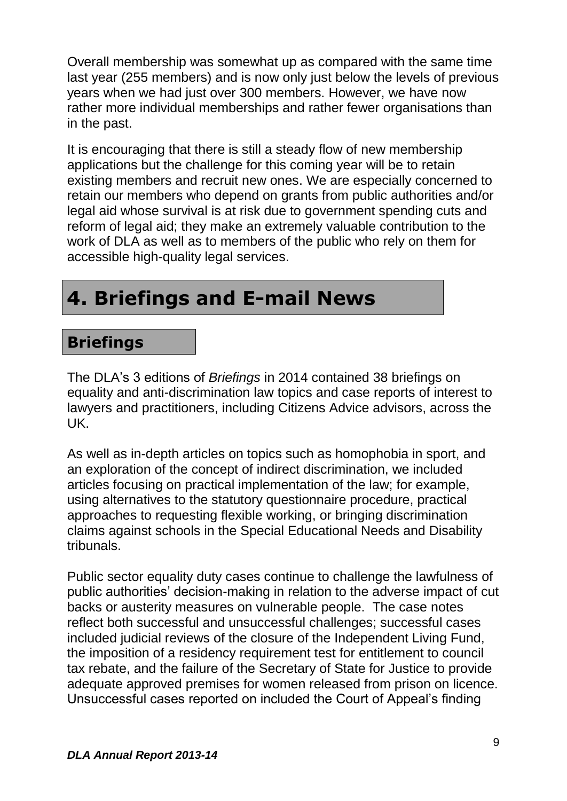Overall membership was somewhat up as compared with the same time last year (255 members) and is now only just below the levels of previous years when we had just over 300 members. However, we have now rather more individual memberships and rather fewer organisations than in the past.

It is encouraging that there is still a steady flow of new membership applications but the challenge for this coming year will be to retain existing members and recruit new ones. We are especially concerned to retain our members who depend on grants from public authorities and/or legal aid whose survival is at risk due to government spending cuts and reform of legal aid; they make an extremely valuable contribution to the work of DLA as well as to members of the public who rely on them for accessible high-quality legal services.

## **4. Briefings and E-mail News**

### **Briefings**

The DLA's 3 editions of *Briefings* in 2014 contained 38 briefings on equality and anti-discrimination law topics and case reports of interest to lawyers and practitioners, including Citizens Advice advisors, across the UK.

As well as in-depth articles on topics such as homophobia in sport, and an exploration of the concept of indirect discrimination, we included articles focusing on practical implementation of the law; for example, using alternatives to the statutory questionnaire procedure, practical approaches to requesting flexible working, or bringing discrimination claims against schools in the Special Educational Needs and Disability tribunals.

Public sector equality duty cases continue to challenge the lawfulness of public authorities' decision-making in relation to the adverse impact of cut backs or austerity measures on vulnerable people. The case notes reflect both successful and unsuccessful challenges; successful cases included judicial reviews of the closure of the Independent Living Fund, the imposition of a residency requirement test for entitlement to council tax rebate, and the failure of the Secretary of State for Justice to provide adequate approved premises for women released from prison on licence. Unsuccessful cases reported on included the Court of Appeal's finding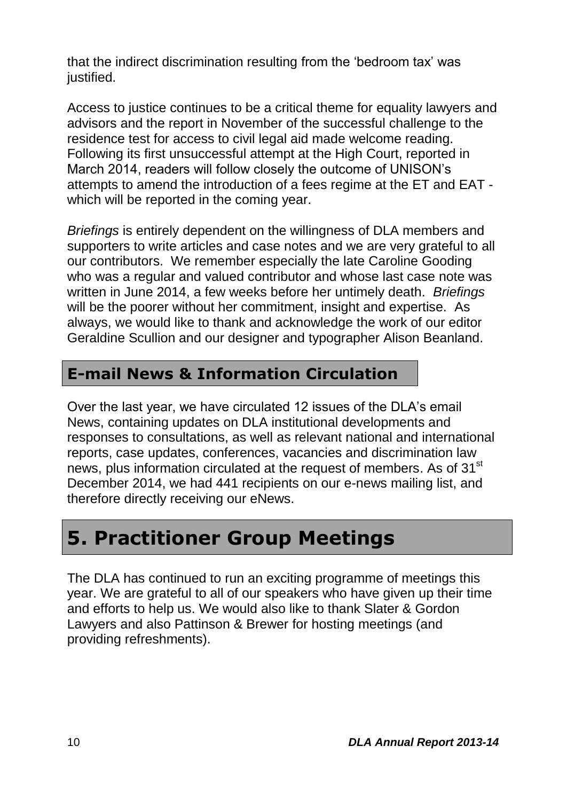that the indirect discrimination resulting from the 'bedroom tax' was justified.

Access to justice continues to be a critical theme for equality lawyers and advisors and the report in November of the successful challenge to the residence test for access to civil legal aid made welcome reading. Following its first unsuccessful attempt at the High Court, reported in March 2014, readers will follow closely the outcome of UNISON's attempts to amend the introduction of a fees regime at the ET and EAT which will be reported in the coming year.

*Briefings* is entirely dependent on the willingness of DLA members and supporters to write articles and case notes and we are very grateful to all our contributors. We remember especially the late Caroline Gooding who was a regular and valued contributor and whose last case note was written in June 2014, a few weeks before her untimely death. *Briefings* will be the poorer without her commitment, insight and expertise. As always, we would like to thank and acknowledge the work of our editor Geraldine Scullion and our designer and typographer Alison Beanland.

### **E-mail News & Information Circulation**

Over the last year, we have circulated 12 issues of the DLA's email News, containing updates on DLA institutional developments and responses to consultations, as well as relevant national and international reports, case updates, conferences, vacancies and discrimination law news, plus information circulated at the request of members. As of 31<sup>st</sup> December 2014, we had 441 recipients on our e-news mailing list, and therefore directly receiving our eNews.

### **5. Practitioner Group Meetings**

The DLA has continued to run an exciting programme of meetings this year. We are grateful to all of our speakers who have given up their time and efforts to help us. We would also like to thank Slater & Gordon Lawyers and also Pattinson & Brewer for hosting meetings (and providing refreshments).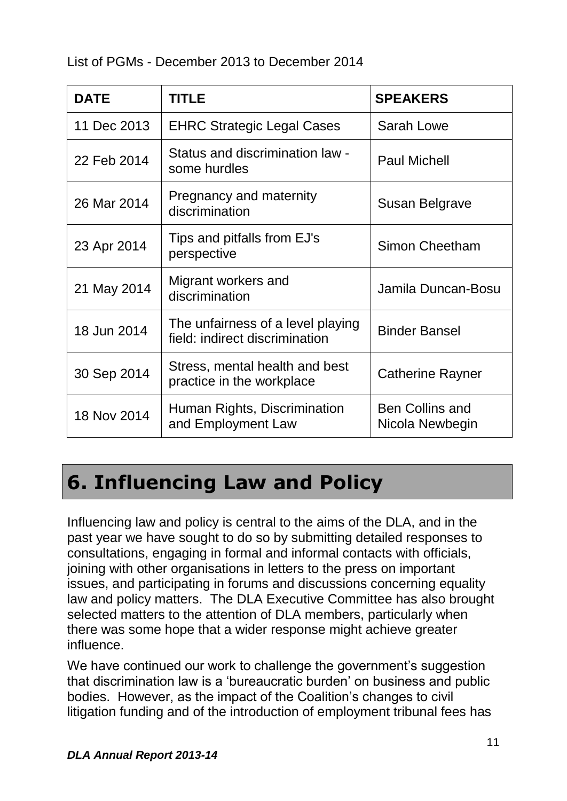| <b>DATE</b> | <b>TITLE</b>                                                        | <b>SPEAKERS</b>                           |  |
|-------------|---------------------------------------------------------------------|-------------------------------------------|--|
| 11 Dec 2013 | <b>EHRC Strategic Legal Cases</b>                                   | Sarah Lowe                                |  |
| 22 Feb 2014 | Status and discrimination law -<br>some hurdles                     | <b>Paul Michell</b>                       |  |
| 26 Mar 2014 | Pregnancy and maternity<br>discrimination                           | Susan Belgrave                            |  |
| 23 Apr 2014 | Tips and pitfalls from EJ's<br>perspective                          | <b>Simon Cheetham</b>                     |  |
| 21 May 2014 | Migrant workers and<br>discrimination                               | Jamila Duncan-Bosu                        |  |
| 18 Jun 2014 | The unfairness of a level playing<br>field: indirect discrimination | <b>Binder Bansel</b>                      |  |
| 30 Sep 2014 | Stress, mental health and best<br>practice in the workplace         | <b>Catherine Rayner</b>                   |  |
| 18 Nov 2014 | Human Rights, Discrimination<br>and Employment Law                  | <b>Ben Collins and</b><br>Nicola Newbegin |  |

### **6. Influencing Law and Policy**

Influencing law and policy is central to the aims of the DLA, and in the past year we have sought to do so by submitting detailed responses to consultations, engaging in formal and informal contacts with officials, joining with other organisations in letters to the press on important issues, and participating in forums and discussions concerning equality law and policy matters. The DLA Executive Committee has also brought selected matters to the attention of DLA members, particularly when there was some hope that a wider response might achieve greater influence.

We have continued our work to challenge the government's suggestion that discrimination law is a 'bureaucratic burden' on business and public bodies. However, as the impact of the Coalition's changes to civil litigation funding and of the introduction of employment tribunal fees has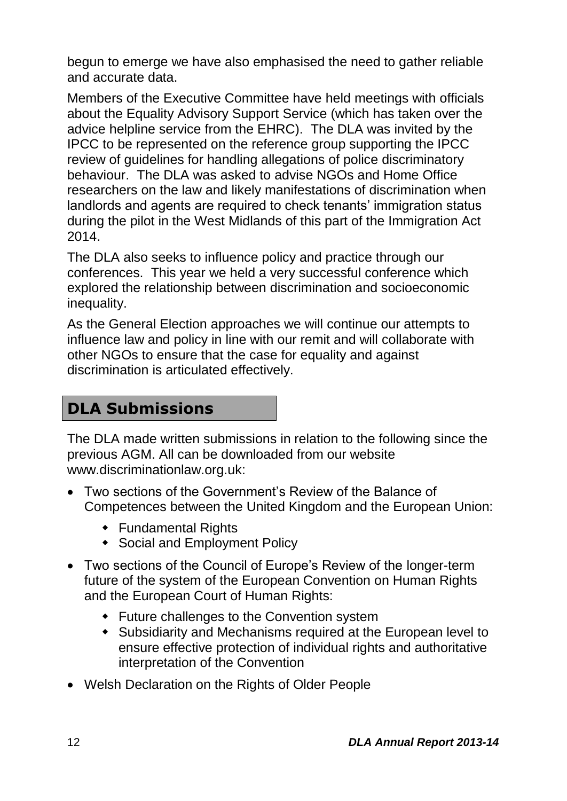begun to emerge we have also emphasised the need to gather reliable and accurate data.

Members of the Executive Committee have held meetings with officials about the Equality Advisory Support Service (which has taken over the advice helpline service from the EHRC). The DLA was invited by the IPCC to be represented on the reference group supporting the IPCC review of guidelines for handling allegations of police discriminatory behaviour. The DLA was asked to advise NGOs and Home Office researchers on the law and likely manifestations of discrimination when landlords and agents are required to check tenants' immigration status during the pilot in the West Midlands of this part of the Immigration Act 2014.

The DLA also seeks to influence policy and practice through our conferences. This year we held a very successful conference which explored the relationship between discrimination and socioeconomic inequality.

As the General Election approaches we will continue our attempts to influence law and policy in line with our remit and will collaborate with other NGOs to ensure that the case for equality and against discrimination is articulated effectively.

### **DLA Submissions**

The DLA made written submissions in relation to the following since the previous AGM. All can be downloaded from our website www.discriminationlaw.org.uk:

- Two sections of the Government's Review of the Balance of Competences between the United Kingdom and the European Union:
	- Fundamental Rights
	- Social and Employment Policy
- Two sections of the Council of Europe's Review of the longer-term future of the system of the European Convention on Human Rights and the European Court of Human Rights:
	- Future challenges to the Convention system
	- Subsidiarity and Mechanisms required at the European level to ensure effective protection of individual rights and authoritative interpretation of the Convention
- Welsh Declaration on the Rights of Older People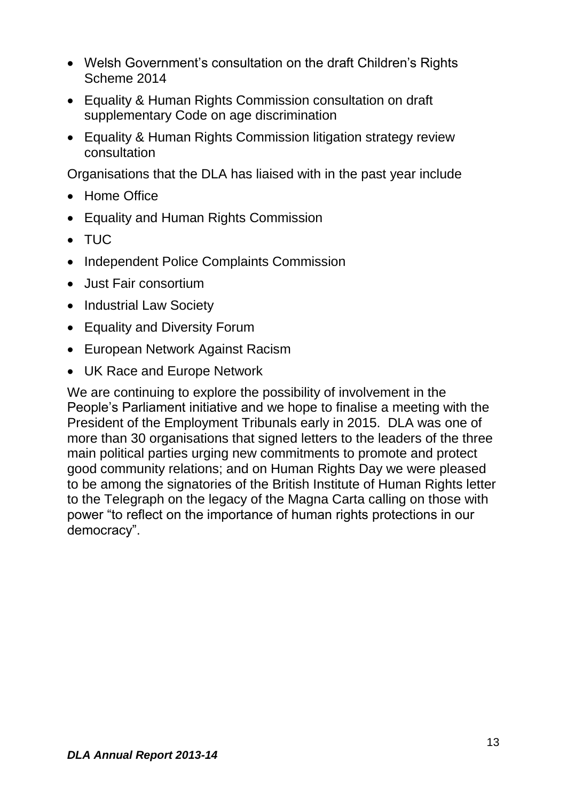- Welsh Government's consultation on the draft Children's Rights Scheme 2014
- Equality & Human Rights Commission consultation on draft supplementary Code on age discrimination
- Equality & Human Rights Commission litigation strategy review consultation

Organisations that the DLA has liaised with in the past year include

- Home Office
- Equality and Human Rights Commission
- TUC
- Independent Police Complaints Commission
- Just Fair consortium
- Industrial Law Society
- Equality and Diversity Forum
- European Network Against Racism
- UK Race and Europe Network

We are continuing to explore the possibility of involvement in the People's Parliament initiative and we hope to finalise a meeting with the President of the Employment Tribunals early in 2015. DLA was one of more than 30 organisations that signed letters to the leaders of the three main political parties urging new commitments to promote and protect good community relations; and on Human Rights Day we were pleased to be among the signatories of the British Institute of Human Rights letter to the Telegraph on the legacy of the Magna Carta calling on those with power "to reflect on the importance of human rights protections in our democracy".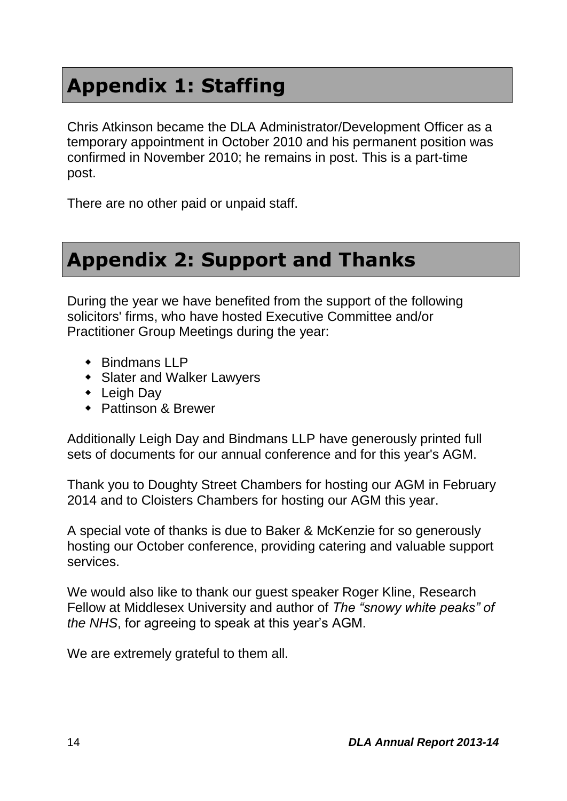## **Appendix 1: Staffing**

Chris Atkinson became the DLA Administrator/Development Officer as a temporary appointment in October 2010 and his permanent position was confirmed in November 2010; he remains in post. This is a part-time post.

There are no other paid or unpaid staff.

### **Appendix 2: Support and Thanks**

During the year we have benefited from the support of the following solicitors' firms, who have hosted Executive Committee and/or Practitioner Group Meetings during the year:

- $\triangle$  Bindmans LLP
- Slater and Walker Lawyers
- Leigh Day
- ◆ Pattinson & Brewer

Additionally Leigh Day and Bindmans LLP have generously printed full sets of documents for our annual conference and for this year's AGM.

Thank you to Doughty Street Chambers for hosting our AGM in February 2014 and to Cloisters Chambers for hosting our AGM this year.

A special vote of thanks is due to Baker & McKenzie for so generously hosting our October conference, providing catering and valuable support services.

We would also like to thank our guest speaker Roger Kline, Research Fellow at Middlesex University and author of *The "snowy white peaks" of the NHS*, for agreeing to speak at this year's AGM.

We are extremely grateful to them all.